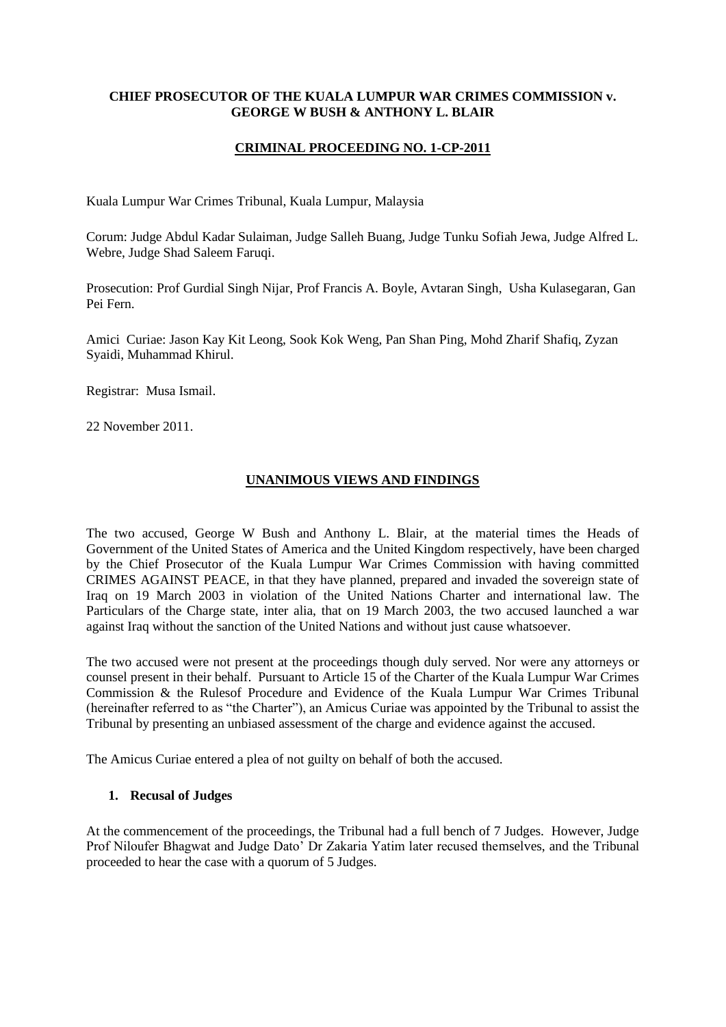#### **CHIEF PROSECUTOR OF THE KUALA LUMPUR WAR CRIMES COMMISSION v. GEORGE W BUSH & ANTHONY L. BLAIR**

#### **CRIMINAL PROCEEDING NO. 1-CP-2011**

Kuala Lumpur War Crimes Tribunal, Kuala Lumpur, Malaysia

Corum: Judge Abdul Kadar Sulaiman, Judge Salleh Buang, Judge Tunku Sofiah Jewa, Judge Alfred L. Webre, Judge Shad Saleem Faruqi.

Prosecution: Prof Gurdial Singh Nijar, Prof Francis A. Boyle, Avtaran Singh, Usha Kulasegaran, Gan Pei Fern.

Amici Curiae: Jason Kay Kit Leong, Sook Kok Weng, Pan Shan Ping, Mohd Zharif Shafiq, Zyzan Syaidi, Muhammad Khirul.

Registrar: Musa Ismail.

22 November 2011.

#### **UNANIMOUS VIEWS AND FINDINGS**

The two accused, George W Bush and Anthony L. Blair, at the material times the Heads of Government of the United States of America and the United Kingdom respectively, have been charged by the Chief Prosecutor of the Kuala Lumpur War Crimes Commission with having committed CRIMES AGAINST PEACE, in that they have planned, prepared and invaded the sovereign state of Iraq on 19 March 2003 in violation of the United Nations Charter and international law. The Particulars of the Charge state, inter alia, that on 19 March 2003, the two accused launched a war against Iraq without the sanction of the United Nations and without just cause whatsoever.

The two accused were not present at the proceedings though duly served. Nor were any attorneys or counsel present in their behalf. Pursuant to Article 15 of the Charter of the Kuala Lumpur War Crimes Commission & the Rulesof Procedure and Evidence of the Kuala Lumpur War Crimes Tribunal (hereinafter referred to as "the Charter"), an Amicus Curiae was appointed by the Tribunal to assist the Tribunal by presenting an unbiased assessment of the charge and evidence against the accused.

The Amicus Curiae entered a plea of not guilty on behalf of both the accused.

#### **1. Recusal of Judges**

At the commencement of the proceedings, the Tribunal had a full bench of 7 Judges. However, Judge Prof Niloufer Bhagwat and Judge Dato" Dr Zakaria Yatim later recused themselves, and the Tribunal proceeded to hear the case with a quorum of 5 Judges.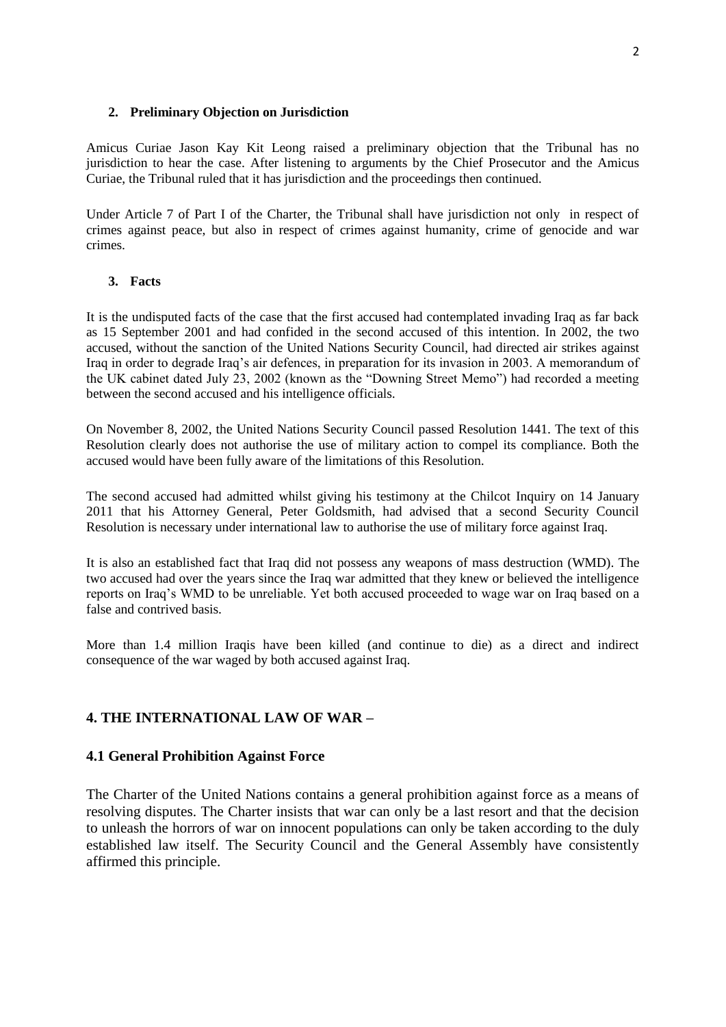#### **2. Preliminary Objection on Jurisdiction**

Amicus Curiae Jason Kay Kit Leong raised a preliminary objection that the Tribunal has no jurisdiction to hear the case. After listening to arguments by the Chief Prosecutor and the Amicus Curiae, the Tribunal ruled that it has jurisdiction and the proceedings then continued.

Under Article 7 of Part I of the Charter, the Tribunal shall have jurisdiction not only in respect of crimes against peace, but also in respect of crimes against humanity, crime of genocide and war crimes.

#### **3. Facts**

It is the undisputed facts of the case that the first accused had contemplated invading Iraq as far back as 15 September 2001 and had confided in the second accused of this intention. In 2002, the two accused, without the sanction of the United Nations Security Council, had directed air strikes against Iraq in order to degrade Iraq"s air defences, in preparation for its invasion in 2003. A memorandum of the UK cabinet dated July 23, 2002 (known as the "Downing Street Memo") had recorded a meeting between the second accused and his intelligence officials.

On November 8, 2002, the United Nations Security Council passed Resolution 1441. The text of this Resolution clearly does not authorise the use of military action to compel its compliance. Both the accused would have been fully aware of the limitations of this Resolution.

The second accused had admitted whilst giving his testimony at the Chilcot Inquiry on 14 January 2011 that his Attorney General, Peter Goldsmith, had advised that a second Security Council Resolution is necessary under international law to authorise the use of military force against Iraq.

It is also an established fact that Iraq did not possess any weapons of mass destruction (WMD). The two accused had over the years since the Iraq war admitted that they knew or believed the intelligence reports on Iraq"s WMD to be unreliable. Yet both accused proceeded to wage war on Iraq based on a false and contrived basis.

More than 1.4 million Iraqis have been killed (and continue to die) as a direct and indirect consequence of the war waged by both accused against Iraq.

#### **4. THE INTERNATIONAL LAW OF WAR –**

#### **4.1 General Prohibition Against Force**

The Charter of the United Nations contains a general prohibition against force as a means of resolving disputes. The Charter insists that war can only be a last resort and that the decision to unleash the horrors of war on innocent populations can only be taken according to the duly established law itself. The Security Council and the General Assembly have consistently affirmed this principle.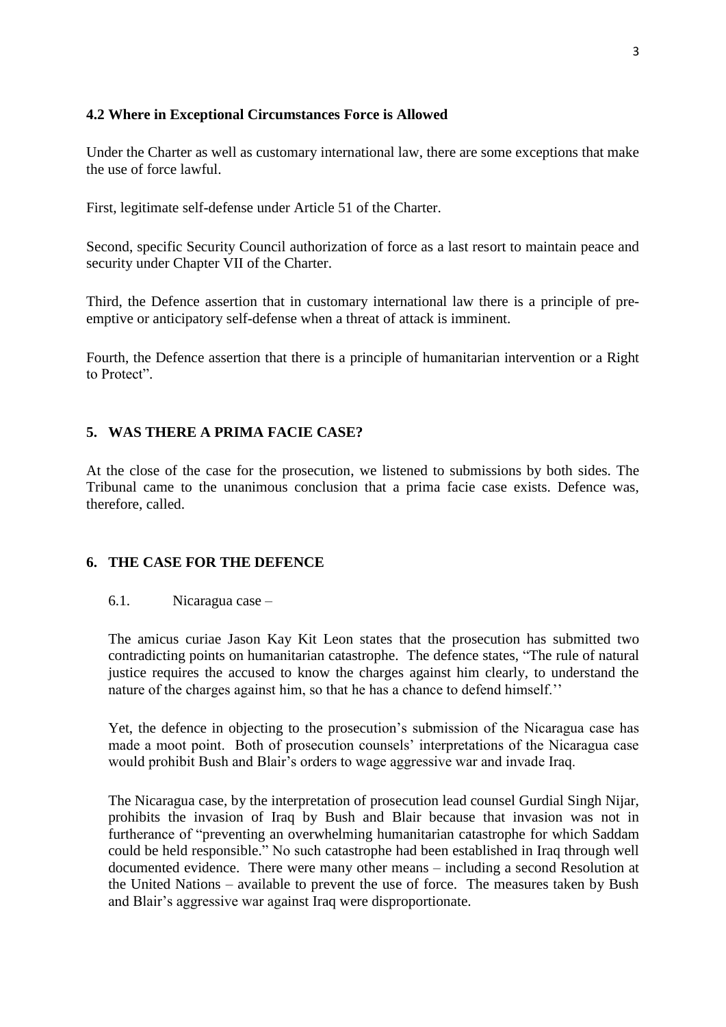## **4.2 Where in Exceptional Circumstances Force is Allowed**

Under the Charter as well as customary international law, there are some exceptions that make the use of force lawful.

First, legitimate self-defense under Article 51 of the Charter.

Second, specific Security Council authorization of force as a last resort to maintain peace and security under Chapter VII of the Charter.

Third, the Defence assertion that in customary international law there is a principle of preemptive or anticipatory self-defense when a threat of attack is imminent.

Fourth, the Defence assertion that there is a principle of humanitarian intervention or a Right to Protect".

# **5. WAS THERE A PRIMA FACIE CASE?**

At the close of the case for the prosecution, we listened to submissions by both sides. The Tribunal came to the unanimous conclusion that a prima facie case exists. Defence was, therefore, called.

# **6. THE CASE FOR THE DEFENCE**

## 6.1. Nicaragua case –

The amicus curiae Jason Kay Kit Leon states that the prosecution has submitted two contradicting points on humanitarian catastrophe. The defence states, "The rule of natural justice requires the accused to know the charges against him clearly, to understand the nature of the charges against him, so that he has a chance to defend himself."

Yet, the defence in objecting to the prosecution"s submission of the Nicaragua case has made a moot point. Both of prosecution counsels" interpretations of the Nicaragua case would prohibit Bush and Blair"s orders to wage aggressive war and invade Iraq.

The Nicaragua case, by the interpretation of prosecution lead counsel Gurdial Singh Nijar, prohibits the invasion of Iraq by Bush and Blair because that invasion was not in furtherance of "preventing an overwhelming humanitarian catastrophe for which Saddam could be held responsible." No such catastrophe had been established in Iraq through well documented evidence. There were many other means – including a second Resolution at the United Nations – available to prevent the use of force. The measures taken by Bush and Blair"s aggressive war against Iraq were disproportionate.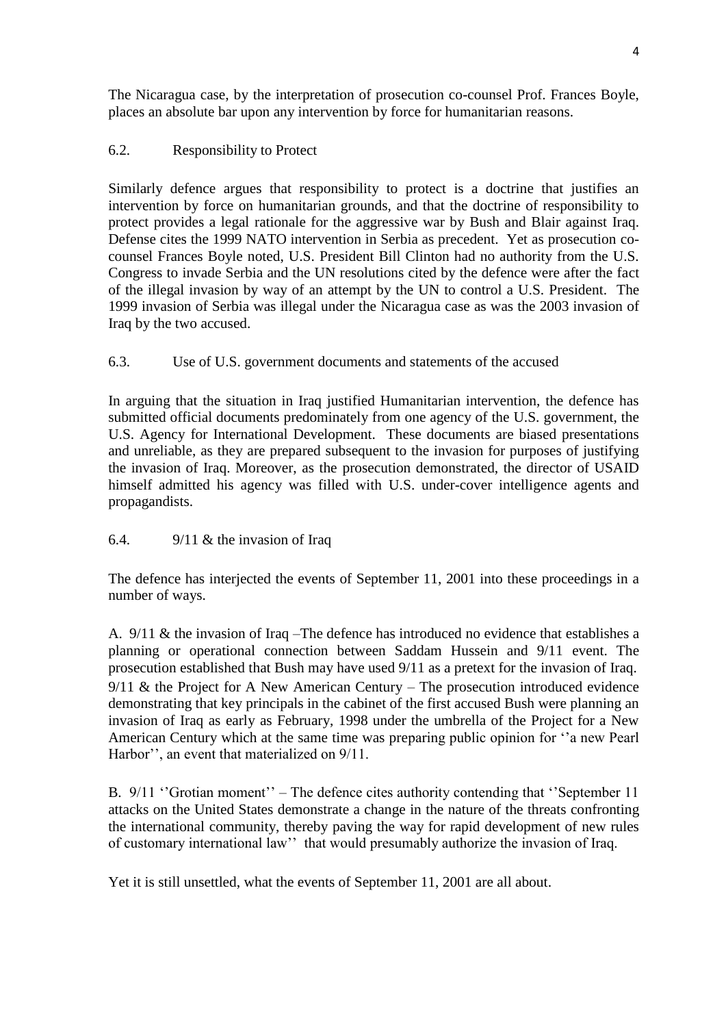The Nicaragua case, by the interpretation of prosecution co-counsel Prof. Frances Boyle, places an absolute bar upon any intervention by force for humanitarian reasons.

# 6.2. Responsibility to Protect

Similarly defence argues that responsibility to protect is a doctrine that justifies an intervention by force on humanitarian grounds, and that the doctrine of responsibility to protect provides a legal rationale for the aggressive war by Bush and Blair against Iraq. Defense cites the 1999 NATO intervention in Serbia as precedent. Yet as prosecution cocounsel Frances Boyle noted, U.S. President Bill Clinton had no authority from the U.S. Congress to invade Serbia and the UN resolutions cited by the defence were after the fact of the illegal invasion by way of an attempt by the UN to control a U.S. President. The 1999 invasion of Serbia was illegal under the Nicaragua case as was the 2003 invasion of Iraq by the two accused.

## 6.3. Use of U.S. government documents and statements of the accused

In arguing that the situation in Iraq justified Humanitarian intervention, the defence has submitted official documents predominately from one agency of the U.S. government, the U.S. Agency for International Development. These documents are biased presentations and unreliable, as they are prepared subsequent to the invasion for purposes of justifying the invasion of Iraq. Moreover, as the prosecution demonstrated, the director of USAID himself admitted his agency was filled with U.S. under-cover intelligence agents and propagandists.

# 6.4. 9/11 & the invasion of Iraq

The defence has interjected the events of September 11, 2001 into these proceedings in a number of ways.

A. 9/11 & the invasion of Iraq –The defence has introduced no evidence that establishes a planning or operational connection between Saddam Hussein and 9/11 event. The prosecution established that Bush may have used 9/11 as a pretext for the invasion of Iraq. 9/11 & the Project for A New American Century – The prosecution introduced evidence demonstrating that key principals in the cabinet of the first accused Bush were planning an invasion of Iraq as early as February, 1998 under the umbrella of the Project for a New American Century which at the same time was preparing public opinion for "a new Pearl" Harbor", an event that materialized on  $9/11$ .

B. 9/11 "Grotian moment" – The defence cites authority contending that "September 11 attacks on the United States demonstrate a change in the nature of the threats confronting the international community, thereby paving the way for rapid development of new rules of customary international law"" that would presumably authorize the invasion of Iraq.

Yet it is still unsettled, what the events of September 11, 2001 are all about.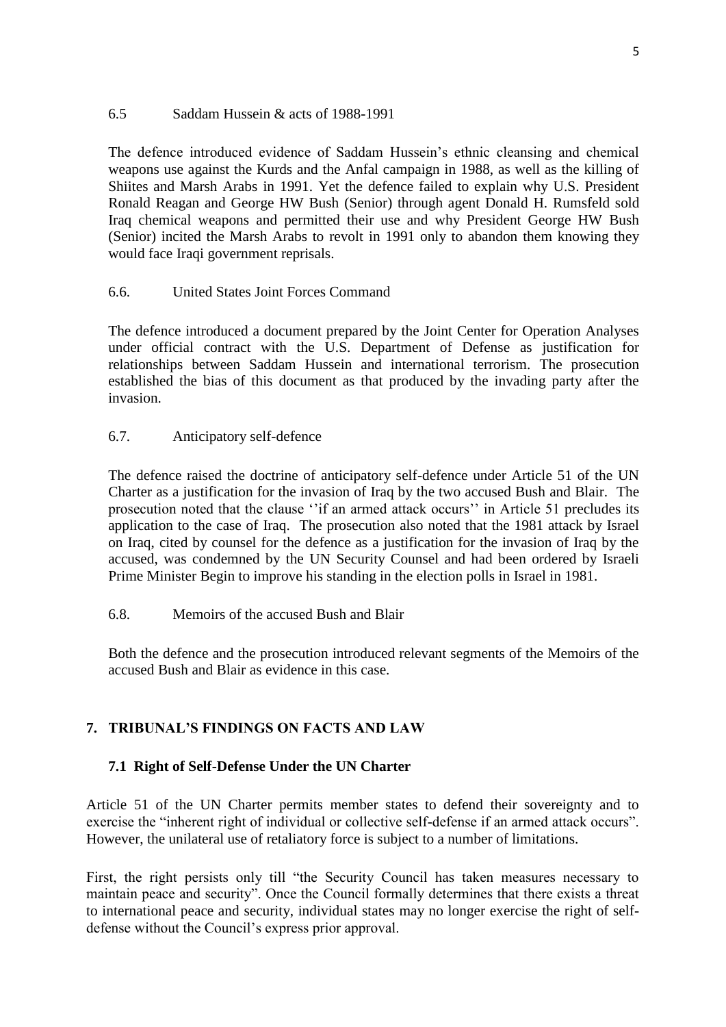## 6.5 Saddam Hussein & acts of 1988-1991

The defence introduced evidence of Saddam Hussein"s ethnic cleansing and chemical weapons use against the Kurds and the Anfal campaign in 1988, as well as the killing of Shiites and Marsh Arabs in 1991. Yet the defence failed to explain why U.S. President Ronald Reagan and George HW Bush (Senior) through agent Donald H. Rumsfeld sold Iraq chemical weapons and permitted their use and why President George HW Bush (Senior) incited the Marsh Arabs to revolt in 1991 only to abandon them knowing they would face Iraqi government reprisals.

## 6.6. United States Joint Forces Command

The defence introduced a document prepared by the Joint Center for Operation Analyses under official contract with the U.S. Department of Defense as justification for relationships between Saddam Hussein and international terrorism. The prosecution established the bias of this document as that produced by the invading party after the invasion.

# 6.7. Anticipatory self-defence

The defence raised the doctrine of anticipatory self-defence under Article 51 of the UN Charter as a justification for the invasion of Iraq by the two accused Bush and Blair. The prosecution noted that the clause "if an armed attack occurs" in Article 51 precludes its application to the case of Iraq. The prosecution also noted that the 1981 attack by Israel on Iraq, cited by counsel for the defence as a justification for the invasion of Iraq by the accused, was condemned by the UN Security Counsel and had been ordered by Israeli Prime Minister Begin to improve his standing in the election polls in Israel in 1981.

### 6.8. Memoirs of the accused Bush and Blair

Both the defence and the prosecution introduced relevant segments of the Memoirs of the accused Bush and Blair as evidence in this case.

# **7. TRIBUNAL'S FINDINGS ON FACTS AND LAW**

### **7.1 Right of Self-Defense Under the UN Charter**

Article 51 of the UN Charter permits member states to defend their sovereignty and to exercise the "inherent right of individual or collective self-defense if an armed attack occurs". However, the unilateral use of retaliatory force is subject to a number of limitations.

First, the right persists only till "the Security Council has taken measures necessary to maintain peace and security". Once the Council formally determines that there exists a threat to international peace and security, individual states may no longer exercise the right of selfdefense without the Council's express prior approval.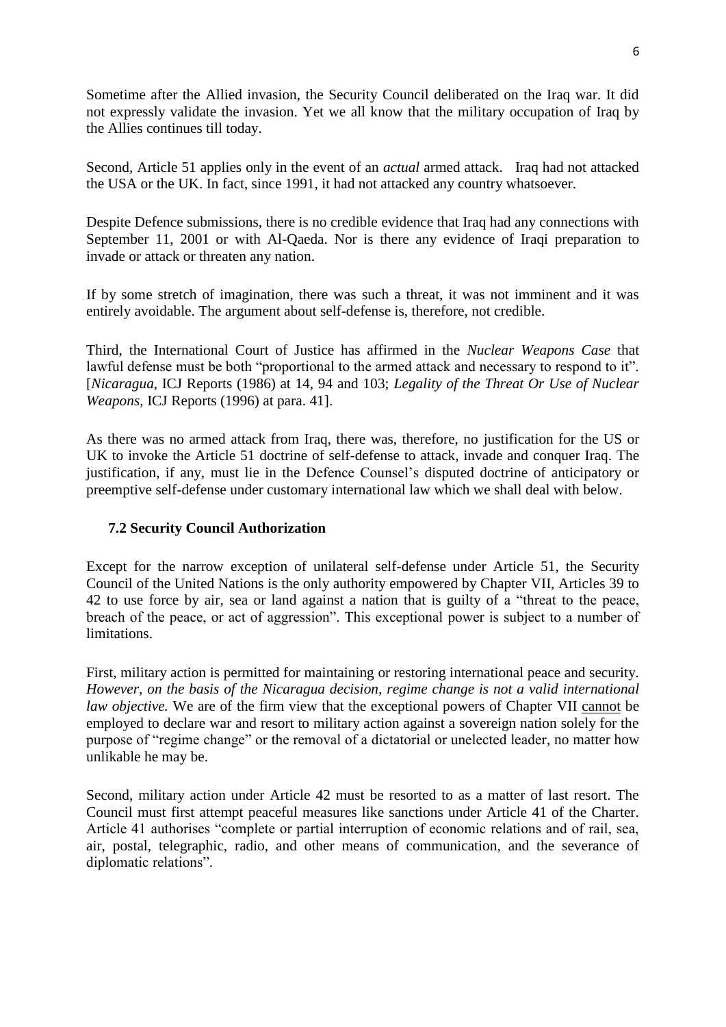Sometime after the Allied invasion, the Security Council deliberated on the Iraq war. It did not expressly validate the invasion. Yet we all know that the military occupation of Iraq by the Allies continues till today.

Second, Article 51 applies only in the event of an *actual* armed attack. Iraq had not attacked the USA or the UK. In fact, since 1991, it had not attacked any country whatsoever.

Despite Defence submissions, there is no credible evidence that Iraq had any connections with September 11, 2001 or with Al-Qaeda. Nor is there any evidence of Iraqi preparation to invade or attack or threaten any nation.

If by some stretch of imagination, there was such a threat, it was not imminent and it was entirely avoidable. The argument about self-defense is, therefore, not credible.

Third, the International Court of Justice has affirmed in the *Nuclear Weapons Case* that lawful defense must be both "proportional to the armed attack and necessary to respond to it". [*Nicaragua,* ICJ Reports (1986) at 14, 94 and 103; *Legality of the Threat Or Use of Nuclear Weapons*, ICJ Reports (1996) at para. 41].

As there was no armed attack from Iraq, there was, therefore, no justification for the US or UK to invoke the Article 51 doctrine of self-defense to attack, invade and conquer Iraq. The justification, if any, must lie in the Defence Counsel"s disputed doctrine of anticipatory or preemptive self-defense under customary international law which we shall deal with below.

# **7.2 Security Council Authorization**

Except for the narrow exception of unilateral self-defense under Article 51, the Security Council of the United Nations is the only authority empowered by Chapter VII, Articles 39 to 42 to use force by air, sea or land against a nation that is guilty of a "threat to the peace, breach of the peace, or act of aggression". This exceptional power is subject to a number of limitations.

First, military action is permitted for maintaining or restoring international peace and security. *However, on the basis of the Nicaragua decision, regime change is not a valid international law objective.* We are of the firm view that the exceptional powers of Chapter VII cannot be employed to declare war and resort to military action against a sovereign nation solely for the purpose of "regime change" or the removal of a dictatorial or unelected leader, no matter how unlikable he may be.

Second, military action under Article 42 must be resorted to as a matter of last resort. The Council must first attempt peaceful measures like sanctions under Article 41 of the Charter. Article 41 authorises "complete or partial interruption of economic relations and of rail, sea, air, postal, telegraphic, radio, and other means of communication, and the severance of diplomatic relations".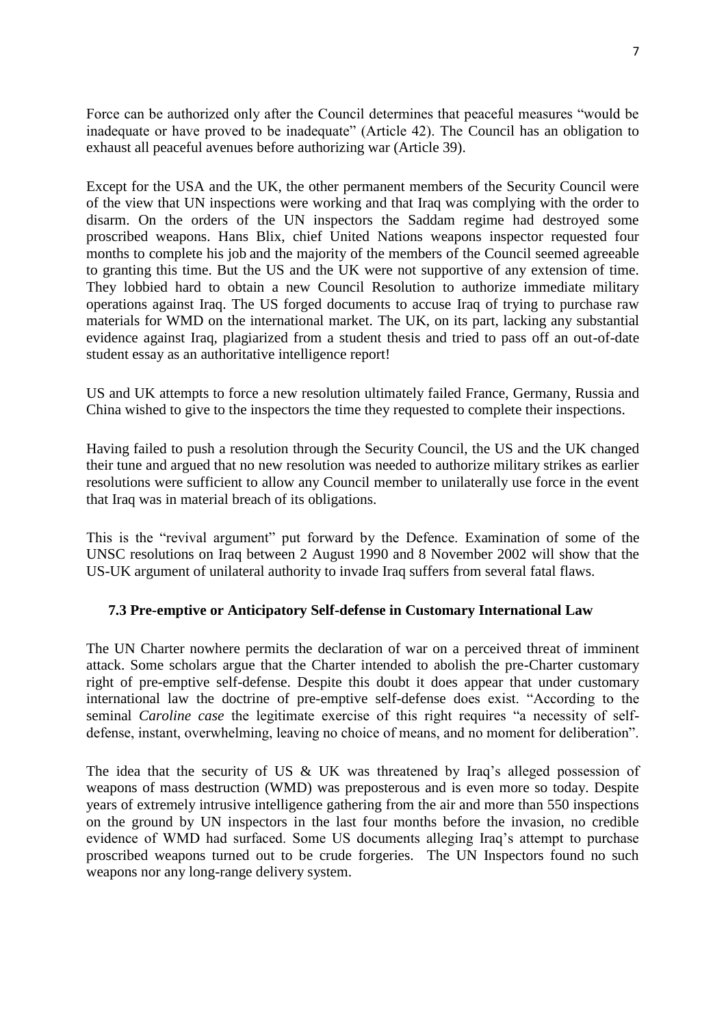Force can be authorized only after the Council determines that peaceful measures "would be inadequate or have proved to be inadequate" (Article 42). The Council has an obligation to exhaust all peaceful avenues before authorizing war (Article 39).

Except for the USA and the UK, the other permanent members of the Security Council were of the view that UN inspections were working and that Iraq was complying with the order to disarm. On the orders of the UN inspectors the Saddam regime had destroyed some proscribed weapons. Hans Blix, chief United Nations weapons inspector requested four months to complete his job and the majority of the members of the Council seemed agreeable to granting this time. But the US and the UK were not supportive of any extension of time. They lobbied hard to obtain a new Council Resolution to authorize immediate military operations against Iraq. The US forged documents to accuse Iraq of trying to purchase raw materials for WMD on the international market. The UK, on its part, lacking any substantial evidence against Iraq, plagiarized from a student thesis and tried to pass off an out-of-date student essay as an authoritative intelligence report!

US and UK attempts to force a new resolution ultimately failed France, Germany, Russia and China wished to give to the inspectors the time they requested to complete their inspections.

Having failed to push a resolution through the Security Council, the US and the UK changed their tune and argued that no new resolution was needed to authorize military strikes as earlier resolutions were sufficient to allow any Council member to unilaterally use force in the event that Iraq was in material breach of its obligations.

This is the "revival argument" put forward by the Defence. Examination of some of the UNSC resolutions on Iraq between 2 August 1990 and 8 November 2002 will show that the US-UK argument of unilateral authority to invade Iraq suffers from several fatal flaws.

### **7.3 Pre-emptive or Anticipatory Self-defense in Customary International Law**

The UN Charter nowhere permits the declaration of war on a perceived threat of imminent attack. Some scholars argue that the Charter intended to abolish the pre-Charter customary right of pre-emptive self-defense. Despite this doubt it does appear that under customary international law the doctrine of pre-emptive self-defense does exist. "According to the seminal *Caroline case* the legitimate exercise of this right requires "a necessity of selfdefense, instant, overwhelming, leaving no choice of means, and no moment for deliberation".

The idea that the security of US & UK was threatened by Iraq's alleged possession of weapons of mass destruction (WMD) was preposterous and is even more so today. Despite years of extremely intrusive intelligence gathering from the air and more than 550 inspections on the ground by UN inspectors in the last four months before the invasion, no credible evidence of WMD had surfaced. Some US documents alleging Iraq"s attempt to purchase proscribed weapons turned out to be crude forgeries. The UN Inspectors found no such weapons nor any long-range delivery system.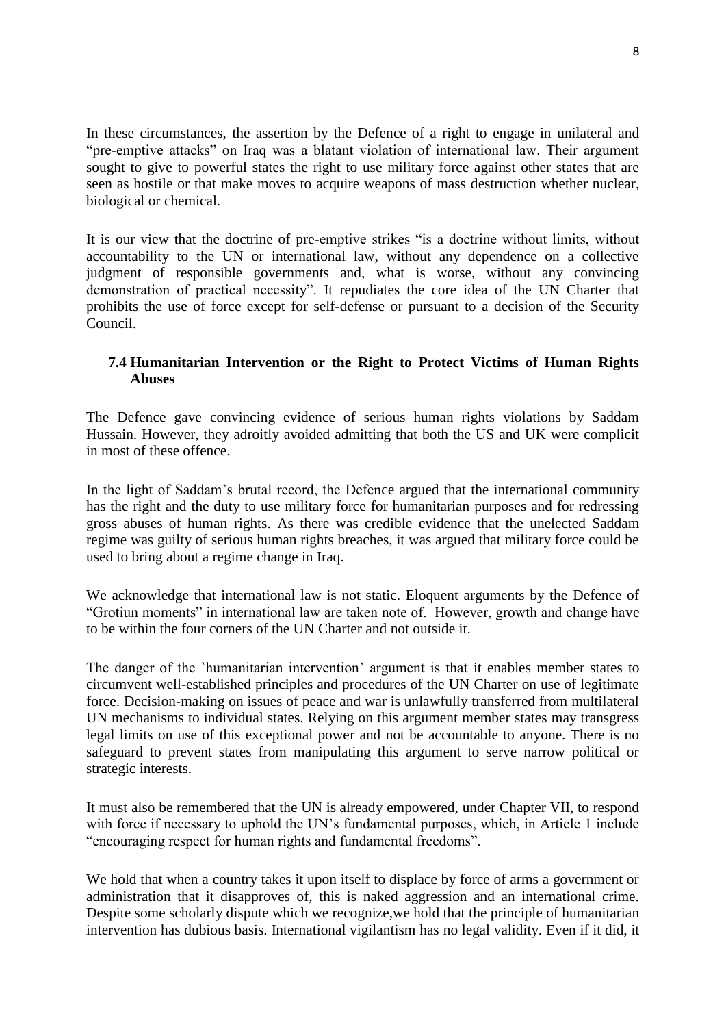In these circumstances, the assertion by the Defence of a right to engage in unilateral and "pre-emptive attacks" on Iraq was a blatant violation of international law. Their argument sought to give to powerful states the right to use military force against other states that are seen as hostile or that make moves to acquire weapons of mass destruction whether nuclear, biological or chemical.

It is our view that the doctrine of pre-emptive strikes "is a doctrine without limits, without accountability to the UN or international law, without any dependence on a collective judgment of responsible governments and, what is worse, without any convincing demonstration of practical necessity". It repudiates the core idea of the UN Charter that prohibits the use of force except for self-defense or pursuant to a decision of the Security Council.

## **7.4 Humanitarian Intervention or the Right to Protect Victims of Human Rights Abuses**

The Defence gave convincing evidence of serious human rights violations by Saddam Hussain. However, they adroitly avoided admitting that both the US and UK were complicit in most of these offence.

In the light of Saddam"s brutal record, the Defence argued that the international community has the right and the duty to use military force for humanitarian purposes and for redressing gross abuses of human rights. As there was credible evidence that the unelected Saddam regime was guilty of serious human rights breaches, it was argued that military force could be used to bring about a regime change in Iraq.

We acknowledge that international law is not static. Eloquent arguments by the Defence of "Grotiun moments" in international law are taken note of. However, growth and change have to be within the four corners of the UN Charter and not outside it.

The danger of the `humanitarian intervention" argument is that it enables member states to circumvent well-established principles and procedures of the UN Charter on use of legitimate force. Decision-making on issues of peace and war is unlawfully transferred from multilateral UN mechanisms to individual states. Relying on this argument member states may transgress legal limits on use of this exceptional power and not be accountable to anyone. There is no safeguard to prevent states from manipulating this argument to serve narrow political or strategic interests.

It must also be remembered that the UN is already empowered, under Chapter VII, to respond with force if necessary to uphold the UN's fundamental purposes, which, in Article 1 include "encouraging respect for human rights and fundamental freedoms".

We hold that when a country takes it upon itself to displace by force of arms a government or administration that it disapproves of, this is naked aggression and an international crime. Despite some scholarly dispute which we recognize,we hold that the principle of humanitarian intervention has dubious basis. International vigilantism has no legal validity. Even if it did, it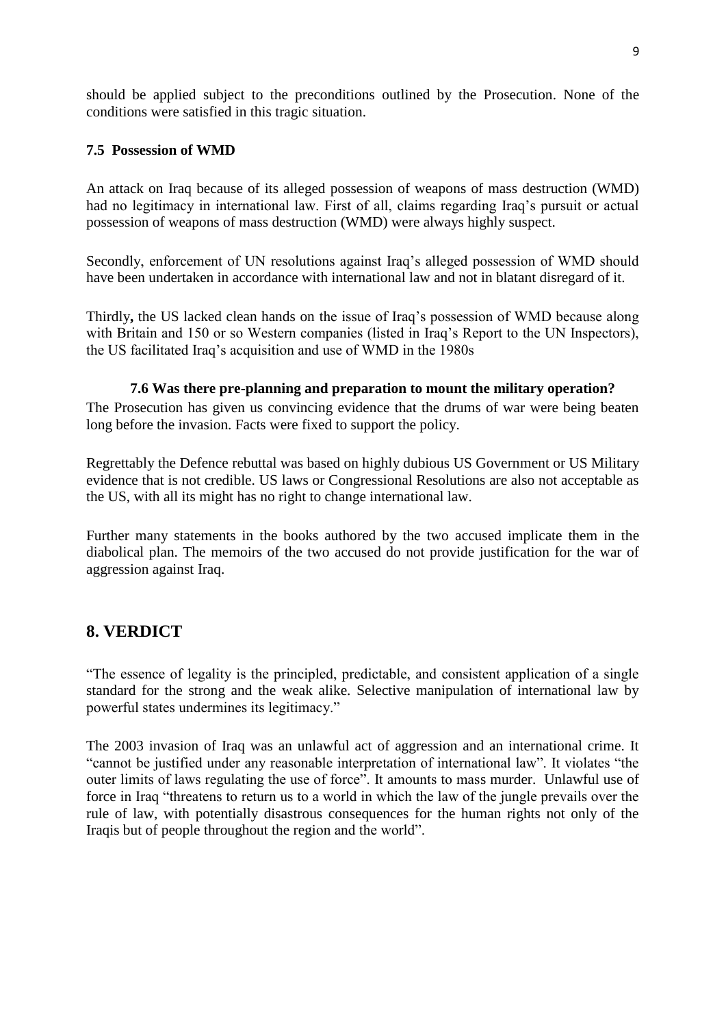should be applied subject to the preconditions outlined by the Prosecution. None of the conditions were satisfied in this tragic situation.

## **7.5 Possession of WMD**

An attack on Iraq because of its alleged possession of weapons of mass destruction (WMD) had no legitimacy in international law. First of all, claims regarding Iraq's pursuit or actual possession of weapons of mass destruction (WMD) were always highly suspect.

Secondly, enforcement of UN resolutions against Iraq"s alleged possession of WMD should have been undertaken in accordance with international law and not in blatant disregard of it.

Thirdly**,** the US lacked clean hands on the issue of Iraq"s possession of WMD because along with Britain and 150 or so Western companies (listed in Iraq's Report to the UN Inspectors), the US facilitated Iraq"s acquisition and use of WMD in the 1980s

### **7.6 Was there pre-planning and preparation to mount the military operation?**

The Prosecution has given us convincing evidence that the drums of war were being beaten long before the invasion. Facts were fixed to support the policy.

Regrettably the Defence rebuttal was based on highly dubious US Government or US Military evidence that is not credible. US laws or Congressional Resolutions are also not acceptable as the US, with all its might has no right to change international law.

Further many statements in the books authored by the two accused implicate them in the diabolical plan. The memoirs of the two accused do not provide justification for the war of aggression against Iraq.

# **8. VERDICT**

"The essence of legality is the principled, predictable, and consistent application of a single standard for the strong and the weak alike. Selective manipulation of international law by powerful states undermines its legitimacy."

The 2003 invasion of Iraq was an unlawful act of aggression and an international crime. It "cannot be justified under any reasonable interpretation of international law". It violates "the outer limits of laws regulating the use of force". It amounts to mass murder. Unlawful use of force in Iraq "threatens to return us to a world in which the law of the jungle prevails over the rule of law, with potentially disastrous consequences for the human rights not only of the Iraqis but of people throughout the region and the world".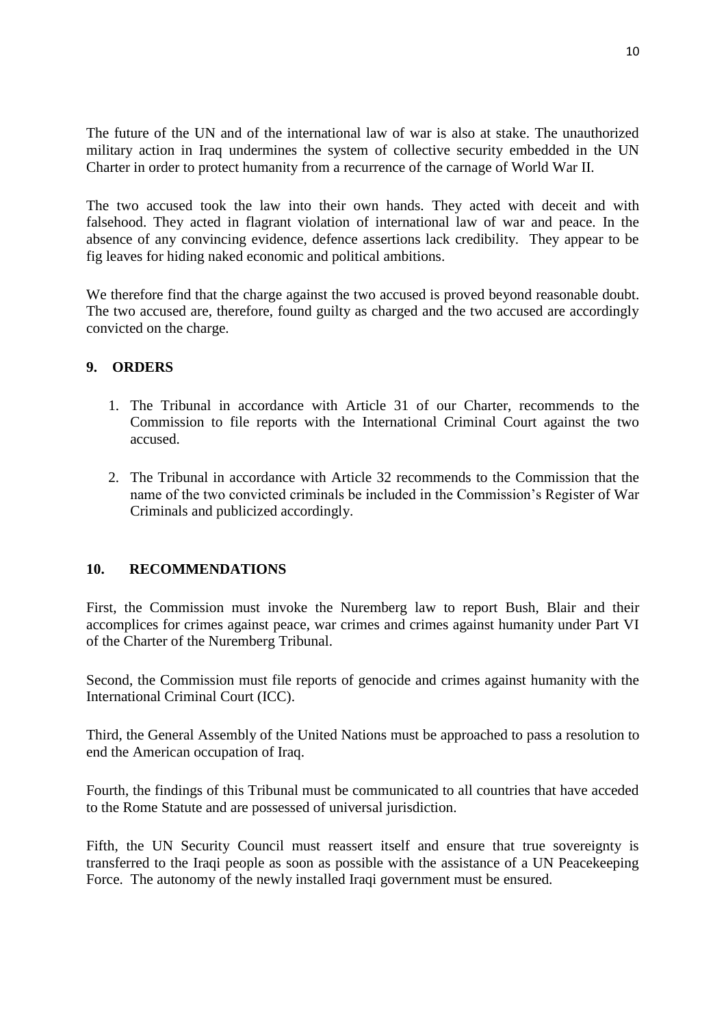The future of the UN and of the international law of war is also at stake. The unauthorized military action in Iraq undermines the system of collective security embedded in the UN Charter in order to protect humanity from a recurrence of the carnage of World War II.

The two accused took the law into their own hands. They acted with deceit and with falsehood. They acted in flagrant violation of international law of war and peace. In the absence of any convincing evidence, defence assertions lack credibility. They appear to be fig leaves for hiding naked economic and political ambitions.

We therefore find that the charge against the two accused is proved beyond reasonable doubt. The two accused are, therefore, found guilty as charged and the two accused are accordingly convicted on the charge.

## **9. ORDERS**

- 1. The Tribunal in accordance with Article 31 of our Charter, recommends to the Commission to file reports with the International Criminal Court against the two accused.
- 2. The Tribunal in accordance with Article 32 recommends to the Commission that the name of the two convicted criminals be included in the Commission"s Register of War Criminals and publicized accordingly.

### **10. RECOMMENDATIONS**

First, the Commission must invoke the Nuremberg law to report Bush, Blair and their accomplices for crimes against peace, war crimes and crimes against humanity under Part VI of the Charter of the Nuremberg Tribunal.

Second, the Commission must file reports of genocide and crimes against humanity with the International Criminal Court (ICC).

Third, the General Assembly of the United Nations must be approached to pass a resolution to end the American occupation of Iraq.

Fourth, the findings of this Tribunal must be communicated to all countries that have acceded to the Rome Statute and are possessed of universal jurisdiction.

Fifth, the UN Security Council must reassert itself and ensure that true sovereignty is transferred to the Iraqi people as soon as possible with the assistance of a UN Peacekeeping Force. The autonomy of the newly installed Iraqi government must be ensured.